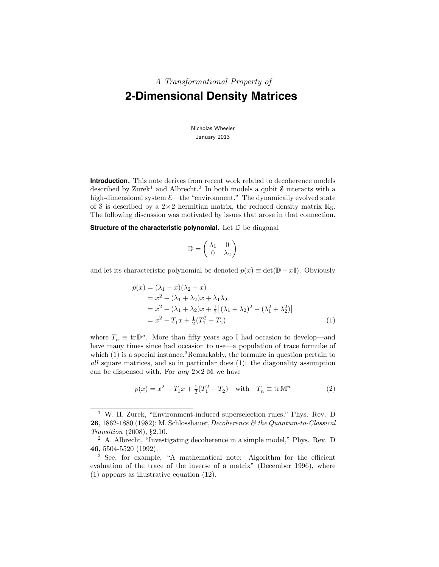# A Transformational Property of **2-Dimensional Density Matrices**

Nicholas Wheeler January 2013

**Introduction.** This note derives from recent work related to decoherence models described by Zurek<sup>1</sup> and Albrecht.<sup>2</sup> In both models a qubit  $\delta$  interacts with a high-dimensional system  $\mathcal{E}$ —the "environment." The dynamically evolved state of S is described by a  $2\times 2$  hermitian matrix, the reduced density matrix  $\mathbb{R}_8$ . The following discussion was motivated by issues that arose in that connection.

**Structure of the characteristic polynomial.** Let D be diagonal

$$
\mathbb{D} = \left( \begin{array}{cc} \lambda_1 & 0 \\ 0 & \lambda_2 \end{array} \right)
$$

and let its characteristic polynomial be denoted  $p(x) \equiv \det(D - xI)$ . Obviously

$$
p(x) = (\lambda_1 - x)(\lambda_2 - x)
$$
  
=  $x^2 - (\lambda_1 + \lambda_2)x + \lambda_1\lambda_2$   
=  $x^2 - (\lambda_1 + \lambda_2)x + \frac{1}{2}[(\lambda_1 + \lambda_2)^2 - (\lambda_1^2 + \lambda_2^2)]$   
=  $x^2 - T_1x + \frac{1}{2}(T_1^2 - T_2)$  (1)

where  $T_n \equiv \text{tr} \mathbb{D}^n$ . More than fifty years ago I had occasion to develop—and have many times since had occasion to use—a population of trace formulæ of which  $(1)$  is a special instance.<sup>3</sup>Remarkably, the formulæ in question pertain to all square matrices, and so in particular does (1): the diagonality assumption can be dispensed with. For any  $2\times 2$  M we have

$$
p(x) = x^{2} - T_{1}x + \frac{1}{2}(T_{1}^{2} - T_{2}) \text{ with } T_{n} \equiv \text{tr}\,\mathbb{M}^{n}
$$
 (2)

<sup>1</sup> W. H. Zurek, "Environment-induced superselection rules," Phys. Rev. D **26**, 1862-1880 (1982); M. Schlosshauer, Decoherence  $\mathcal{C}$  the Quantum-to-Classical Transition (2008), §2.10.

<sup>2</sup> A. Albrecht, "Investigating decoherence in a simple model," Phys. Rev. D 46, 5504-5520 (1992).

<sup>&</sup>lt;sup>3</sup> See, for example, "A mathematical note: Algorithm for the efficient evaluation of the trace of the inverse of a matrix" (December 1996), where (1) appears as illustrative equation (12).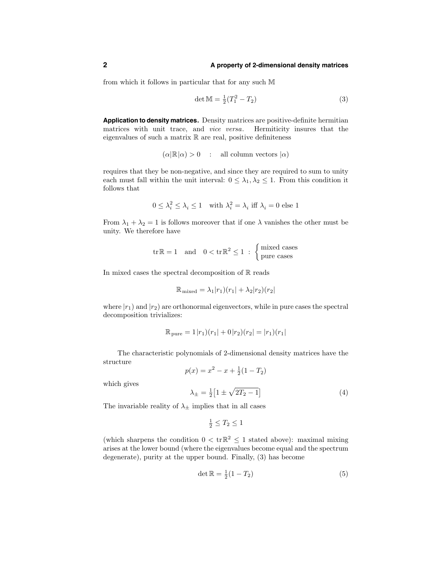from which it follows in particular that for any such M

$$
\det M = \frac{1}{2}(T_1^2 - T_2)
$$
 (3)

**Application to density matrices.** Density matrices are positive-definite hermitian matrices with unit trace, and vice versa. Hermiticity insures that the eigenvalues of such a matrix  $\mathbb R$  are real, positive definiteness

$$
(\alpha | \mathbb{R} | \alpha) > 0 \quad : \quad \text{all column vectors } | \alpha)
$$

requires that they be non-negative, and since they are required to sum to unity each must fall within the unit interval:  $0 \leq \lambda_1, \lambda_2 \leq 1$ . From this condition it follows that

$$
0 \leq \lambda_i^2 \leq \lambda_i \leq 1 \quad \text{with } \lambda_i^2 = \lambda_i \text{ iff } \lambda_i = 0 \text{ else } 1
$$

From  $\lambda_1 + \lambda_2 = 1$  is follows moreover that if one  $\lambda$  vanishes the other must be unity. We therefore have

$$
\operatorname{tr} \mathbb{R} = 1 \quad \text{and} \quad 0 < \operatorname{tr} \mathbb{R}^2 \leq 1 \; : \; \begin{cases} \text{mixed cases} \\ \text{pure cases} \end{cases}
$$

In mixed cases the spectral decomposition of  $\mathbb R$  reads

$$
\mathbb{R}_{\text{mixed}} = \lambda_1 |r_1| (r_1 + \lambda_2 |r_2| (r_2)
$$

where  $|r_1\rangle$  and  $|r_2\rangle$  are orthonormal eigenvectors, while in pure cases the spectral decomposition trivializes:

$$
\mathbb{R}_{\text{pure}} = 1|r_1|(r_1| + 0|r_2)(r_2| = |r_1)(r_1|)
$$

The characteristic polynomials of 2-dimensional density matrices have the structure

$$
p(x) = x^2 - x + \frac{1}{2}(1 - T_2)
$$

which gives

$$
\lambda_{\pm} = \frac{1}{2} \left[ 1 \pm \sqrt{2T_2 - 1} \right] \tag{4}
$$

The invariable reality of  $\lambda_{\pm}$  implies that in all cases

$$
\frac{1}{2} \leq T_2 \leq 1
$$

(which sharpens the condition  $0 < \text{tr} \mathbb{R}^2 \leq 1$  stated above): maximal mixing arises at the lower bound (where the eigenvalues become equal and the spectrum degenerate), purity at the upper bound. Finally, (3) has become

$$
\det \mathbb{R} = \frac{1}{2}(1 - T_2) \tag{5}
$$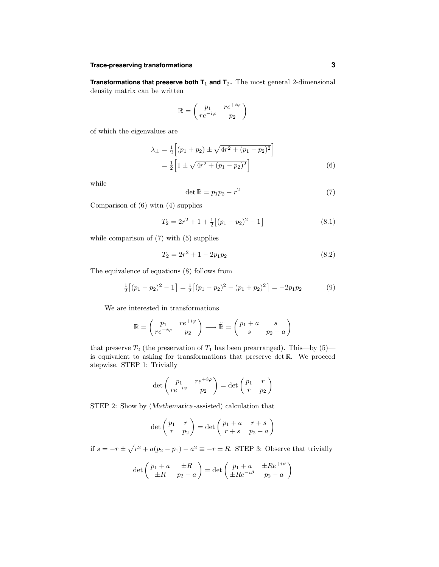#### **Trace-preserving transformations 3**

**Transformations that preserve both T**<sup>1</sup> **and T**<sup>2</sup> **.** The most general 2-dimensional density matrix can be written

$$
\mathbb{R} = \begin{pmatrix} p_1 & re^{+i\varphi} \\ re^{-i\varphi} & p_2 \end{pmatrix}
$$

of which the eigenvalues are

$$
\lambda_{\pm} = \frac{1}{2} \Big[ (p_1 + p_2) \pm \sqrt{4r^2 + (p_1 - p_2)^2} \Big] \n= \frac{1}{2} \Big[ 1 \pm \sqrt{4r^2 + (p_1 - p_2)^2} \Big]
$$
\n(6)

while

$$
\det \mathbb{R} = p_1 p_2 - r^2 \tag{7}
$$

Comparison of (6) witn (4) supplies

$$
T_2 = 2r^2 + 1 + \frac{1}{2} \left[ (p_1 - p_2)^2 - 1 \right] \tag{8.1}
$$

while comparison of (7) with (5) supplies

$$
T_2 = 2r^2 + 1 - 2p_1p_2 \tag{8.2}
$$

The equivalence of equations (8) follows from

$$
\frac{1}{2} \left[ (p_1 - p_2)^2 - 1 \right] = \frac{1}{2} \left[ (p_1 - p_2)^2 - (p_1 + p_2)^2 \right] = -2p_1p_2 \tag{9}
$$

We are interested in transformations

$$
\mathbb{R} = \begin{pmatrix} p_1 & re^{+i\varphi} \\ re^{-i\varphi} & p_2 \end{pmatrix} \longrightarrow \tilde{\mathbb{R}} = \begin{pmatrix} p_1 + a & s \\ s & p_2 - a \end{pmatrix}
$$

that preserve  $T_2$  (the preservation of  $T_1$  has been prearranged). This—by (5) is equivalent to asking for transformations that preserve det R. We proceed stepwise. STEP 1: Trivially

$$
\det\begin{pmatrix}p_1 & re^{+i\varphi} \\ re^{-i\varphi} & p_2\end{pmatrix} = \det\begin{pmatrix}p_1 & r \\ r & p_2\end{pmatrix}
$$

STEP 2: Show by (Mathematica -assisted) calculation that

$$
\det\begin{pmatrix}p_1&r\\r&p_2\end{pmatrix}=\det\begin{pmatrix}p_1+a&r+s\\r+s&p_2-a\end{pmatrix}
$$

if  $s = -r \pm \sqrt{r^2 + a(p_2 - p_1) - a^2} \equiv -r \pm R$ . STEP 3: Observe that trivially

$$
\det\begin{pmatrix}p_1+a & \pm R \\ \pm R & p_2-a\end{pmatrix} = \det\begin{pmatrix}p_1+a & \pm Re^{+i\vartheta} \\ \pm Re^{-i\vartheta} & p_2-a\end{pmatrix}
$$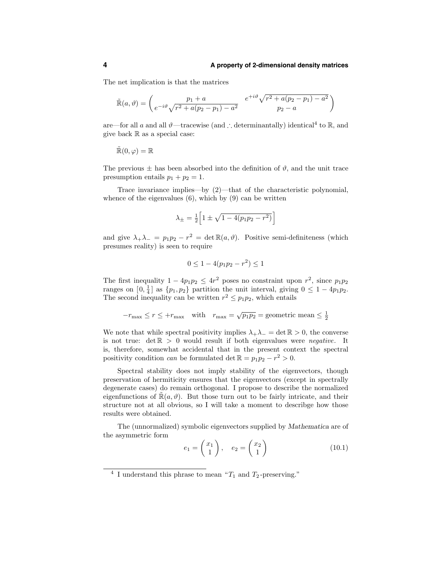The net implication is that the matrices

$$
\tilde{\mathbb{R}}(a,\vartheta) = \begin{pmatrix} p_1 + a & e^{+i\vartheta} \sqrt{r^2 + a(p_2 - p_1) - a^2} \\ e^{-i\vartheta} \sqrt{r^2 + a(p_2 - p_1) - a^2} & p_2 - a \end{pmatrix}
$$

are—for all a and all  $\vartheta$ —tracewise (and ∴ determinantally) identical<sup>4</sup> to R, and give back  $\mathbb R$  as a special case:

$$
\tilde{\mathbb{R}}(0,\varphi)=\mathbb{R}
$$

The previous  $\pm$  has been absorbed into the definition of  $\vartheta$ , and the unit trace presumption entails  $p_1 + p_2 = 1$ .

Trace invariance implies—by (2)—that of the characteristic polynomial, whence of the eigenvalues  $(6)$ , which by  $(9)$  can be written

$$
\lambda_{\pm} = \frac{1}{2} \left[ 1 \pm \sqrt{1 - 4(p_1 p_2 - r^2)} \right]
$$

and give  $\lambda_+ \lambda_- = p_1 p_2 - r^2 = \det \mathbb{R}(a, \vartheta)$ . Positive semi-definiteness (which presumes reality) is seen to require

$$
0 \le 1 - 4(p_1 p_2 - r^2) \le 1
$$

The first inequality  $1 - 4p_1p_2 \le 4r^2$  poses no constraint upon  $r^2$ , since  $p_1p_2$ ranges on  $[0, \frac{1}{4}]$  as  $\{p_1, p_2\}$  partition the unit interval, giving  $0 \leq 1 - 4p_1p_2$ . The second inequality can be written  $r^2 \leq p_1 p_2$ , which entails

$$
-r_{\max} \le r \le +r_{\max} \quad \text{with} \quad r_{\max} = \sqrt{p_1 p_2} = \text{geometric mean} \le \frac{1}{2}
$$

We note that while spectral positivity implies  $\lambda_+\lambda_-=\det\mathbb{R}>0$ , the converse is not true:  $\det \mathbb{R} > 0$  would result if both eigenvalues were *negative*. It is, therefore, somewhat accidental that in the present context the spectral positivity condition *can* be formulated det  $\mathbb{R} = p_1p_2 - r^2 > 0$ .

Spectral stability does not imply stability of the eigenvectors, though preservation of hermiticity ensures that the eigenvectors (except in spectrally degenerate cases) do remain orthogonal. I propose to describe the normalized eigenfunctions of  $\mathbb{R}(a, \vartheta)$ . But those turn out to be fairly intricate, and their structure not at all obvious, so I will take a moment to describge how those results were obtained.

The (unnormalized) symbolic eigenvectors supplied by Mathematica are of the asymmetric form

$$
e_1 = \begin{pmatrix} x_1 \\ 1 \end{pmatrix}, \quad e_2 = \begin{pmatrix} x_2 \\ 1 \end{pmatrix} \tag{10.1}
$$

<sup>&</sup>lt;sup>4</sup> I understand this phrase to mean " $T_1$  and  $T_2$ -preserving."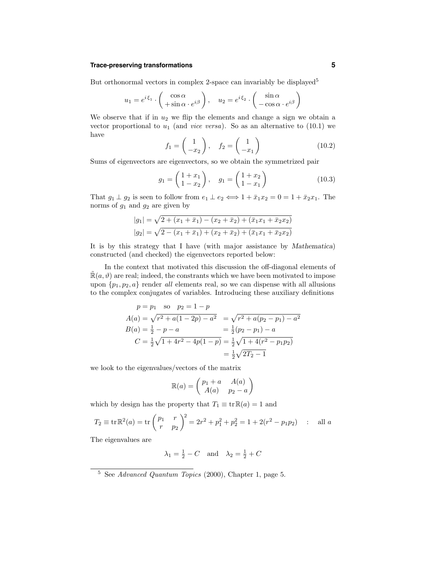#### **Trace-preserving transformations 5**

But orthonormal vectors in complex 2-space can invariably be displayed<sup>5</sup>

$$
u_1 = e^{i\xi_1} \cdot \begin{pmatrix} \cos \alpha \\ +\sin \alpha \cdot e^{i\beta} \end{pmatrix}, \quad u_2 = e^{i\xi_2} \cdot \begin{pmatrix} \sin \alpha \\ -\cos \alpha \cdot e^{i\beta} \end{pmatrix}
$$

We observe that if in  $u_2$  we flip the elements and change a sign we obtain a vector proportional to  $u_1$  (and *vice versa*). So as an alternative to (10.1) we have

$$
f_1 = \begin{pmatrix} 1 \\ -x_2 \end{pmatrix}, \quad f_2 = \begin{pmatrix} 1 \\ -x_1 \end{pmatrix} \tag{10.2}
$$

Sums of eigenvectors are eigenvectors, so we obtain the symmetrized pair

$$
g_1 = \begin{pmatrix} 1 + x_1 \\ 1 - x_2 \end{pmatrix}, \quad g_1 = \begin{pmatrix} 1 + x_2 \\ 1 - x_1 \end{pmatrix}
$$
 (10.3)

That  $g_1 \perp g_2$  is seen to follow from  $e_1 \perp e_2 \Longleftrightarrow 1 + \bar{x}_1 x_2 = 0 = 1 + \bar{x}_2 x_1$ . The norms of  $g_1$  and  $g_2$  are given by

$$
|g_1| = \sqrt{2 + (x_1 + \bar{x}_1) - (x_2 + \bar{x}_2) + (\bar{x}_1 x_1 + \bar{x}_2 x_2)}
$$
  

$$
|g_2| = \sqrt{2 - (x_1 + \bar{x}_1) + (x_2 + \bar{x}_2) + (\bar{x}_1 x_1 + \bar{x}_2 x_2)}
$$

It is by this strategy that I have (with major assistance by Mathematica) constructed (and checked) the eigenvectors reported below:

In the context that motivated this discussion the off-diagonal elements of  $\mathbb{R}(a, \vartheta)$  are real; indeed, the constrants which we have been motivated to impose upon  $\{p_1, p_2, a\}$  render all elements real, so we can dispense with all allusions to the complex conjugates of variables. Introducing these auxiliary definitions

$$
p = p_1 \text{ so } p_2 = 1 - p
$$
  
\n
$$
A(a) = \sqrt{r^2 + a(1 - 2p) - a^2} = \sqrt{r^2 + a(p_2 - p_1) - a^2}
$$
  
\n
$$
B(a) = \frac{1}{2} - p - a = \frac{1}{2}(p_2 - p_1) - a
$$
  
\n
$$
C = \frac{1}{2}\sqrt{1 + 4r^2 - 4p(1 - p)} = \frac{1}{2}\sqrt{1 + 4(r^2 - p_1p_2)}
$$
  
\n
$$
= \frac{1}{2}\sqrt{2T_2 - 1}
$$

we look to the eigenvalues/vectors of the matrix

$$
\mathbb{R}(a) = \begin{pmatrix} p_1 + a & A(a) \\ A(a) & p_2 - a \end{pmatrix}
$$

which by design has the property that  $T_1 \equiv \text{tr}\,\mathbb{R}(a) = 1$  and

$$
T_2 \equiv \text{tr}\,\mathbb{R}^2(a) = \text{tr}\,\left(\frac{p_1}{r} - \frac{r}{p_2}\right)^2 = 2r^2 + p_1^2 + p_2^2 = 1 + 2(r^2 - p_1p_2) \quad \text{if all } a
$$

The eigenvalues are

$$
\lambda_1 = \frac{1}{2} - C
$$
 and  $\lambda_2 = \frac{1}{2} + C$ 

<sup>5</sup> See Advanced Quantum Topics (2000), Chapter 1, page 5.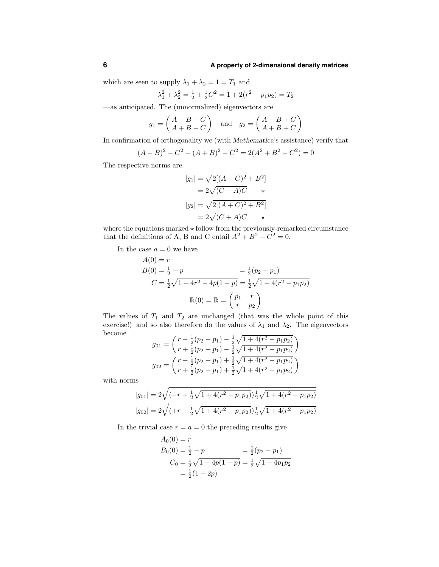which are seen to supply  $\lambda_1 + \lambda_2 = 1 = T_1$  and

$$
\lambda_1^2 + \lambda_2^2 = \frac{1}{2} + \frac{1}{2}C^2 = 1 + 2(r^2 - p_1p_2) = T_2
$$

—as anticipated. The (unnormalized) eigenvectors are

$$
g_1 = \begin{pmatrix} A - B - C \\ A + B - C \end{pmatrix} \text{ and } g_2 = \begin{pmatrix} A - B + C \\ A + B + C \end{pmatrix}
$$

In confirmation of orthogonality we (with Mathematica's assistance) verify that

$$
(A - B)2 - C2 + (A + B)2 - C2 = 2(A2 + B2 - C2) = 0
$$

The respective norms are

$$
|g_1| = \sqrt{2[(A-C)^2 + B^2]}
$$

$$
= 2\sqrt{(C-A)C} \qquad \star
$$

$$
|g_2| = \sqrt{2[(A+C)^2 + B^2]}
$$

$$
= 2\sqrt{(C+A)C} \qquad \star
$$

where the equations marked  $\star$  follow from the previously-remarked circumstance that the definitions of A, B and C entail  $A^2 + B^2 - C^2 = 0$ .

In the case  $a = 0$  we have

$$
A(0) = r
$$
  
\n
$$
B(0) = \frac{1}{2} - p = \frac{1}{2}(p_2 - p_1)
$$
  
\n
$$
C = \frac{1}{2}\sqrt{1 + 4r^2 - 4p(1 - p)} = \frac{1}{2}\sqrt{1 + 4(r^2 - p_1p_2)}
$$
  
\n
$$
\mathbb{R}(0) = \mathbb{R} = \begin{pmatrix} p_1 & r \\ r & p_2 \end{pmatrix}
$$

The values of  $T_1$  and  $T_2$  are unchanged (that was the whole point of this exercise!) and so also therefore do the values of  $\lambda_1$  and  $\lambda_2$ . The eigenvectors become

$$
g_{01} = \left(\begin{array}{c} r - \frac{1}{2}(p_2 - p_1) - \frac{1}{2}\sqrt{1 + 4(r^2 - p_1p_2)} \\ r + \frac{1}{2}(p_2 - p_1) - \frac{1}{2}\sqrt{1 + 4(r^2 - p_1p_2)} \end{array}\right)
$$

$$
g_{02} = \left(\begin{array}{c} r - \frac{1}{2}(p_2 - p_1) + \frac{1}{2}\sqrt{1 + 4(r^2 - p_1p_2)} \\ r + \frac{1}{2}(p_2 - p_1) + \frac{1}{2}\sqrt{1 + 4(r^2 - p_1p_2)} \end{array}\right)
$$

with norms

$$
|g_{01}| = 2\sqrt{(-r + \frac{1}{2}\sqrt{1 + 4(r^2 - p_1p_2)})\frac{1}{2}\sqrt{1 + 4(r^2 - p_1p_2)}}
$$
  

$$
|g_{02}| = 2\sqrt{(+r + \frac{1}{2}\sqrt{1 + 4(r^2 - p_1p_2)})\frac{1}{2}\sqrt{1 + 4(r^2 - p_1p_2)}}
$$

In the trivial case  $r = a = 0$  the preceding results give

$$
A_0(0) = r
$$
  
\n
$$
B_0(0) = \frac{1}{2} - p = \frac{1}{2}(p_2 - p_1)
$$
  
\n
$$
C_0 = \frac{1}{2}\sqrt{1 - 4p(1 - p)} = \frac{1}{2}\sqrt{1 - 4p_1p_2}
$$
  
\n
$$
= \frac{1}{2}(1 - 2p)
$$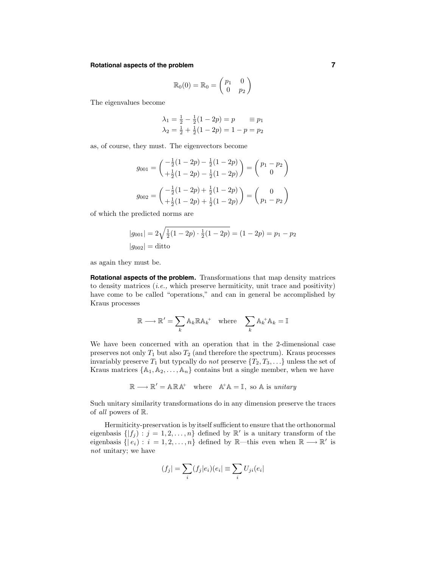#### **Rotational aspects of the problem 7**

$$
\mathbb{R}_0(0) = \mathbb{R}_0 = \begin{pmatrix} p_1 & 0 \\ 0 & p_2 \end{pmatrix}
$$

The eigenvalues become

$$
\lambda_1 = \frac{1}{2} - \frac{1}{2}(1 - 2p) = p \qquad \equiv p_1
$$
  

$$
\lambda_2 = \frac{1}{2} + \frac{1}{2}(1 - 2p) = 1 - p = p_2
$$

as, of course, they must. The eigenvectors become

$$
g_{001} = \begin{pmatrix} -\frac{1}{2}(1-2p) - \frac{1}{2}(1-2p) \\ +\frac{1}{2}(1-2p) - \frac{1}{2}(1-2p) \end{pmatrix} = \begin{pmatrix} p_1 - p_2 \\ 0 \end{pmatrix}
$$

$$
g_{002} = \begin{pmatrix} -\frac{1}{2}(1-2p) + \frac{1}{2}(1-2p) \\ +\frac{1}{2}(1-2p) + \frac{1}{2}(1-2p) \end{pmatrix} = \begin{pmatrix} 0 \\ p_1 - p_2 \end{pmatrix}
$$

of which the predicted norms are

$$
|g_{001}| = 2\sqrt{\frac{1}{2}(1 - 2p) \cdot \frac{1}{2}(1 - 2p)} = (1 - 2p) = p_1 - p_2
$$
  

$$
|g_{002}| = \text{ditto}
$$

as again they must be.

**Rotational aspects of the problem.** Transformations that map density matrices to density matrices  $(i.e., which preserve hermiticity, unit trace and positivity)$ have come to be called "operations," and can in general be accomplished by Kraus processes

$$
\mathbb{R} \longrightarrow \mathbb{R}' = \sum_{k} \mathbb{A}_{k} \mathbb{R} \mathbb{A}_{k}^{\dagger} \quad \text{where} \quad \sum_{k} \mathbb{A}_{k}^{\dagger} \mathbb{A}_{k} = \mathbb{I}
$$

We have been concerned with an operation that in the 2-dimensional case preserves not only  $T_1$  but also  $T_2$  (and therefore the spectrum). Kraus processes invariably preserve  $T_1$  but typcally do not preserve  $\{T_2, T_3, \ldots\}$  unless the set of Kraus matrices  $\{A_1, A_2, \ldots, A_n\}$  contains but a single member, when we have

 $\mathbb{R} \longrightarrow \mathbb{R}' = \mathbb{A} \mathbb{R} \mathbb{A}^+$  where  $\mathbb{A}^+ \mathbb{A} = \mathbb{I}$ , so  $\mathbb{A}$  is unitary

Such unitary similarity transformations do in any dimension preserve the traces of all powers of R.

Hermiticity-preservation is by itself sufficient to ensure that the orthonormal eigenbasis  $\{ | f_i | : j = 1, 2, ..., n \}$  defined by  $\mathbb{R}'$  is a unitary transform of the eigenbasis  $\{|e_i : i = 1, 2, \ldots, n\}$  defined by R—this even when  $\mathbb{R} \longrightarrow \mathbb{R}'$  is not unitary; we have

$$
(f_j| = \sum_i (f_j|e_i)(e_i) \equiv \sum_i U_{ji}(e_i|
$$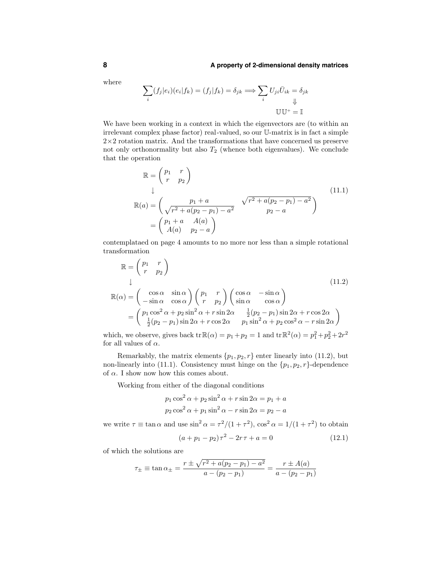where

$$
\sum_{i} (f_j|e_i)(e_i|f_k) = (f_j|f_k) = \delta_{jk} \Longrightarrow \sum_{i} U_{ji}\overline{U}_{ik} = \delta_{jk}
$$
  

$$
\mathbb{U}\mathbb{U}^+ = \mathbb{I}
$$

We have been working in a context in which the eigenvectors are (to within an irrelevant complex phase factor) real-valued, so our U-matrix is in fact a simple  $2\times2$  rotation matrix. And the transformations that have concerned us preserve not only orthonormality but also  $T_2$  (whence both eigenvalues). We conclude that the operation

$$
\mathbb{R} = \begin{pmatrix} p_1 & r \\ r & p_2 \end{pmatrix}
$$
\n
$$
\downarrow
$$
\n
$$
\mathbb{R}(a) = \begin{pmatrix} p_1 + a & \sqrt{r^2 + a(p_2 - p_1) - a^2} \\ \sqrt{r^2 + a(p_2 - p_1) - a^2} & p_2 - a \end{pmatrix}
$$
\n
$$
= \begin{pmatrix} p_1 + a & A(a) \\ A(a) & p_2 - a \end{pmatrix}
$$
\n(11.1)

contemplataed on page 4 amounts to no more nor less than a simple rotational transformation

$$
\mathbb{R} = \begin{pmatrix} p_1 & r \\ r & p_2 \end{pmatrix}
$$
\n
$$
\downarrow
$$
\n
$$
\mathbb{R}(\alpha) = \begin{pmatrix} \cos \alpha & \sin \alpha \\ -\sin \alpha & \cos \alpha \end{pmatrix} \begin{pmatrix} p_1 & r \\ r & p_2 \end{pmatrix} \begin{pmatrix} \cos \alpha & -\sin \alpha \\ \sin \alpha & \cos \alpha \end{pmatrix}
$$
\n
$$
= \begin{pmatrix} p_1 \cos^2 \alpha + p_2 \sin^2 \alpha + r \sin 2\alpha & \frac{1}{2}(p_2 - p_1) \sin 2\alpha + r \cos 2\alpha \\ \frac{1}{2}(p_2 - p_1) \sin 2\alpha + r \cos 2\alpha & p_1 \sin^2 \alpha + p_2 \cos^2 \alpha - r \sin 2\alpha \end{pmatrix}
$$
\n(11.2)

which, we observe, gives back  $\text{tr}\,\mathbb{R}(\alpha) = p_1 + p_2 = 1$  and  $\text{tr}\,\mathbb{R}^2(\alpha) = p_1^2 + p_2^2 + 2r^2$ for all values of  $\alpha$ .

Remarkably, the matrix elements  $\{p_1, p_2, r\}$  enter linearly into (11.2), but non-linearly into (11.1). Consistency must hinge on the  $\{p_1, p_2, r\}$ -dependence of  $\alpha$ . I show now how this comes about.

Working from either of the diagonal conditions

$$
p_1 \cos^2 \alpha + p_2 \sin^2 \alpha + r \sin 2\alpha = p_1 + a
$$
  

$$
p_2 \cos^2 \alpha + p_1 \sin^2 \alpha - r \sin 2\alpha = p_2 - a
$$

we write  $\tau \equiv \tan \alpha$  and use  $\sin^2 \alpha = \tau^2/(1+\tau^2)$ ,  $\cos^2 \alpha = 1/(1+\tau^2)$  to obtain  $(a + p_1 - p_2)\tau^2 - 2r\tau + a = 0$  (12.1)

of which the solutions are

$$
\tau_{\pm} \equiv \tan \alpha_{\pm} = \frac{r \pm \sqrt{r^2 + a(p_2 - p_1) - a^2}}{a - (p_2 - p_1)} = \frac{r \pm A(a)}{a - (p_2 - p_1)}
$$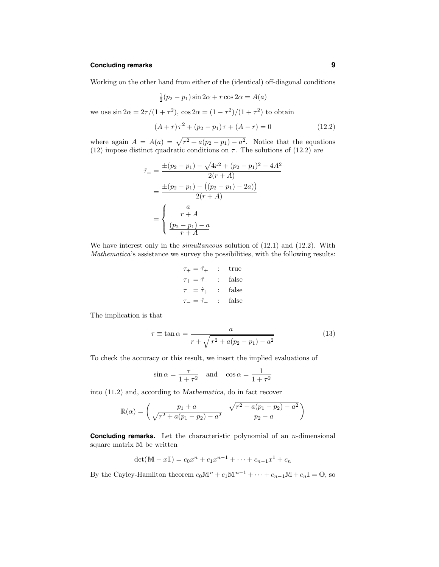#### **Concluding remarks 9**

Working on the other hand from either of the (identical) off-diagonal conditions

$$
\frac{1}{2}(p_2 - p_1)\sin 2\alpha + r\cos 2\alpha = A(a)
$$

we use  $\sin 2\alpha = 2\tau/(1+\tau^2)$ ,  $\cos 2\alpha = (1-\tau^2)/(1+\tau^2)$  to obtain

$$
(A+r)\tau^2 + (p_2 - p_1)\tau + (A-r) = 0 \tag{12.2}
$$

where again  $A = A(a) = \sqrt{r^2 + a(p_2 - p_1) - a^2}$ . Notice that the equations (12) impose distinct quadratic conditions on  $\tau$ . The solutions of (12.2) are

$$
\hat{\tau}_{\pm} = \frac{\pm (p_2 - p_1) - \sqrt{4r^2 + (p_2 - p_1)^2 - 4A^2}}{2(r + A)}
$$

$$
= \frac{\pm (p_2 - p_1) - ((p_2 - p_1) - 2a))}{2(r + A)}
$$

$$
= \begin{cases} \frac{a}{r + A} \\ \frac{(p_2 - p_1) - a}{r + A} \end{cases}
$$

We have interest only in the *simultaneous* solution of  $(12.1)$  and  $(12.2)$ . With Mathematica's assistance we survey the possibilities, with the following results:

$$
\tau_{+} = \hat{\tau}_{+} \quad : \quad \text{true}
$$
\n
$$
\tau_{+} = \hat{\tau}_{-} \quad : \quad \text{false}
$$
\n
$$
\tau_{-} = \hat{\tau}_{+} \quad : \quad \text{false}
$$
\n
$$
\tau_{-} = \hat{\tau}_{-} \quad : \quad \text{false}
$$

The implication is that

$$
\tau \equiv \tan \alpha = \frac{a}{r + \sqrt{r^2 + a(p_2 - p_1) - a^2}}\tag{13}
$$

To check the accuracy or this result, we insert the implied evaluations of

$$
\sin \alpha = \frac{\tau}{1 + \tau^2} \quad \text{and} \quad \cos \alpha = \frac{1}{1 + \tau^2}
$$

into (11.2) and, according to Mathematica, do in fact recover

$$
\mathbb{R}(\alpha) = \begin{pmatrix} p_1 + a & \sqrt{r^2 + a(p_1 - p_2) - a^2} \\ \sqrt{r^2 + a(p_1 - p_2) - a^2} & p_2 - a \end{pmatrix}
$$

**Concluding remarks.** Let the characteristic polynomial of an *n*-dimensional square matrix M be written

$$
\det(\mathbb{M} - x\mathbb{I}) = c_0 x^n + c_1 x^{n-1} + \dots + c_{n-1} x^1 + c_n
$$

By the Cayley-Hamilton theorem  $c_0 \mathbb{M}^n + c_1 \mathbb{M}^{n-1} + \cdots + c_{n-1} \mathbb{M} + c_n \mathbb{I} = \mathbb{O}$ , so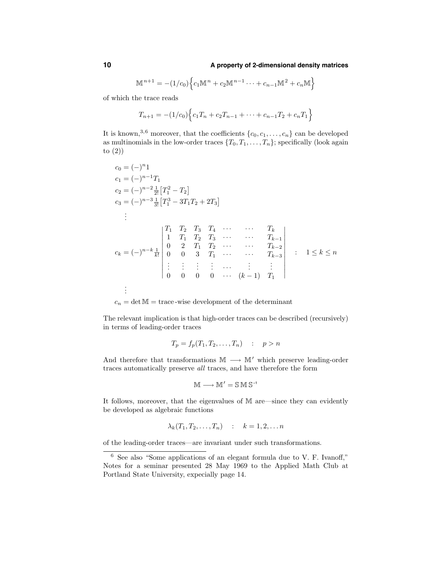$$
\mathbb{M}^{n+1} = -(1/c_0) \Big\{ c_1 \mathbb{M}^n + c_2 \mathbb{M}^{n-1} \cdots + c_{n-1} \mathbb{M}^2 + c_n \mathbb{M} \Big\}
$$

of which the trace reads

$$
T_{n+1} = -(1/c_0)\Big\{c_1T_n + c_2T_{n-1} + \dots + c_{n-1}T_2 + c_nT_1\Big\}
$$

It is known,<sup>3,6</sup> moreover, that the coefficients  $\{c_0, c_1, \ldots, c_n\}$  can be developed as multinomials in the low-order traces  $\{T_0, T_1, \ldots, T_n\}$ ; specifically (look again to (2))

$$
c_0 = (-)^{n_1}
$$
  
\n
$$
c_1 = (-)^{n-1}T_1
$$
  
\n
$$
c_2 = (-)^{n-2} \frac{1}{2!} [T_1^2 - T_2]
$$
  
\n
$$
c_3 = (-)^{n-3} \frac{1}{3!} [T_1^3 - 3T_1T_2 + 2T_3]
$$
  
\n
$$
\vdots
$$
  
\n
$$
c_k = (-)^{n-k} \frac{1}{k!} \begin{vmatrix} T_1 & T_2 & T_3 & T_4 & \cdots & T_k \\ 1 & T_1 & T_2 & T_3 & \cdots & T_{k-1} \\ 0 & 2 & T_1 & T_2 & \cdots & T_{k-2} \\ 0 & 0 & 3 & T_1 & \cdots & T_{k-3} \\ \vdots & \vdots & \vdots & \cdots & \vdots & \vdots \\ 0 & 0 & 0 & \cdots & (k-1) & T_1 \end{vmatrix} : 1 \le k \le n
$$
  
\n
$$
\vdots
$$

 $c_n = \det M = \text{trace-wise development of the determinant}$ 

The relevant implication is that high-order traces can be described (recursively) in terms of leading-order traces

$$
T_p = f_p(T_1, T_2, \dots, T_n) \quad : \quad p > n
$$

And therefore that transformations  $\mathbb{M} \longrightarrow \mathbb{M}'$  which preserve leading-order traces automatically preserve all traces, and have therefore the form

$$
\mathbb{M} \longrightarrow \mathbb{M}' = \mathbb{S} \mathbb{M} \mathbb{S}^{-1}
$$

It follows, moreover, that the eigenvalues of M are—since they can evidently be developed as algebraic functions

$$
\lambda_k(T_1, T_2, \dots, T_n) \quad : \quad k = 1, 2, \dots n
$$

of the leading-order traces—are invariant under such transformations.

<sup>6</sup> See also "Some applications of an elegant formula due to V. F. Ivanoff," Notes for a seminar presented 28 May 1969 to the Applied Math Club at Portland State University, expecially page 14.